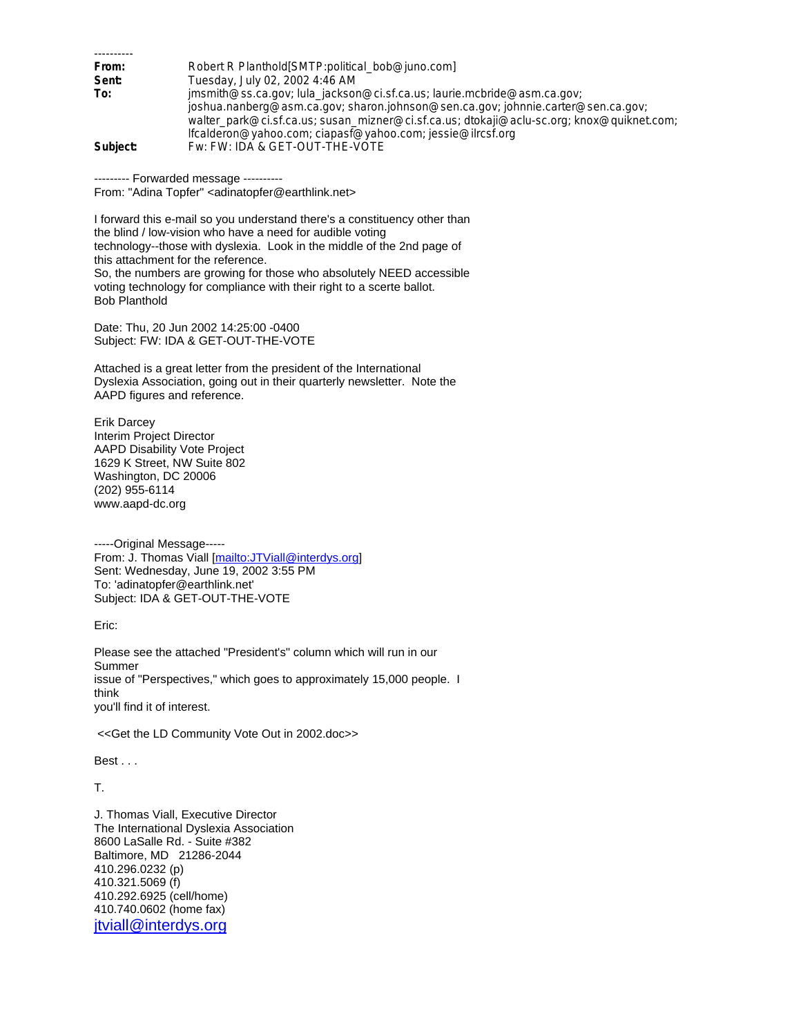| From:    | Robert R Planthold[SMTP:political_bob@juno.com]                                           |
|----------|-------------------------------------------------------------------------------------------|
| Sent:    | Tuesday, July 02, 2002 4:46 AM                                                            |
| To:      | jmsmith@ss.ca.gov; lula_jackson@ci.sf.ca.us; laurie.mcbride@asm.ca.gov;                   |
|          | joshua.nanberg@asm.ca.gov; sharon.johnson@sen.ca.gov; johnnie.carter@sen.ca.gov;          |
|          | walter_park@ci.sf.ca.us; susan_mizner@ci.sf.ca.us; dtokaji@aclu-sc.org; knox@quiknet.com; |
|          | lfcalderon@yahoo.com; ciapasf@yahoo.com; jessie@ilrcsf.org                                |
| Subject: | Fw: FW: IDA & GET-OUT-THE-VOTE                                                            |

--------- Forwarded message ----------

From: "Adina Topfer" <adinatopfer@earthlink.net>

I forward this e-mail so you understand there's a constituency other than the blind / low-vision who have a need for audible voting technology--those with dyslexia. Look in the middle of the 2nd page of this attachment for the reference. So, the numbers are growing for those who absolutely NEED accessible voting technology for compliance with their right to a scerte ballot. Bob Planthold

Date: Thu, 20 Jun 2002 14:25:00 -0400 Subject: FW: IDA & GET-OUT-THE-VOTE

Attached is a great letter from the president of the International Dyslexia Association, going out in their quarterly newsletter. Note the AAPD figures and reference.

Erik Darcey Interim Project Director AAPD Disability Vote Project 1629 K Street, NW Suite 802 Washington, DC 20006 (202) 955-6114 www.aapd-dc.org

-----Original Message----- From: J. Thomas Viall [mailto:JTViall@interdys.org] Sent: Wednesday, June 19, 2002 3:55 PM To: 'adinatopfer@earthlink.net' Subject: IDA & GET-OUT-THE-VOTE

Eric:

Please see the attached "President's" column which will run in our Summer issue of "Perspectives," which goes to approximately 15,000 people. I think you'll find it of interest.

<<Get the LD Community Vote Out in 2002.doc>>

Best . . .

T.

J. Thomas Viall, Executive Director The International Dyslexia Association 8600 LaSalle Rd. - Suite #382 Baltimore, MD 21286-2044 410.296.0232 (p) 410.321.5069 (f) 410.292.6925 (cell/home) 410.740.0602 (home fax) jtviall@interdys.org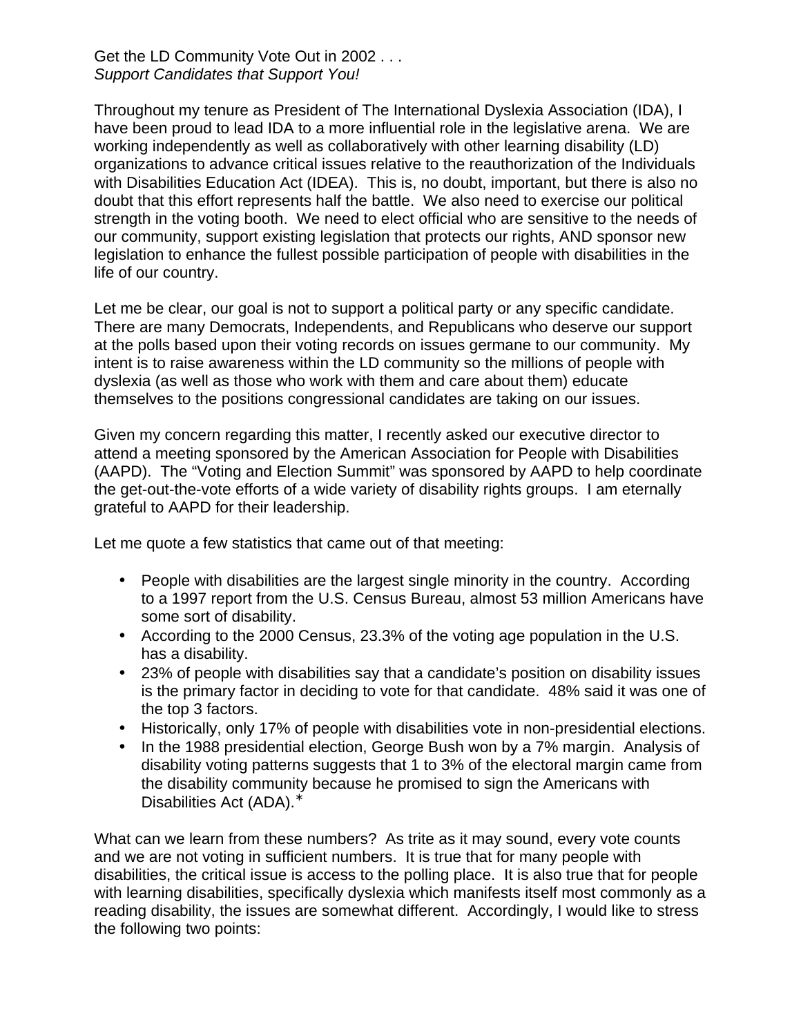## Get the LD Community Vote Out in 2002 . . . *Support Candidates that Support You!*

Throughout my tenure as President of The International Dyslexia Association (IDA), I have been proud to lead IDA to a more influential role in the legislative arena. We are working independently as well as collaboratively with other learning disability (LD) organizations to advance critical issues relative to the reauthorization of the Individuals with Disabilities Education Act (IDEA). This is, no doubt, important, but there is also no doubt that this effort represents half the battle. We also need to exercise our political strength in the voting booth. We need to elect official who are sensitive to the needs of our community, support existing legislation that protects our rights, AND sponsor new legislation to enhance the fullest possible participation of people with disabilities in the life of our country.

Let me be clear, our goal is not to support a political party or any specific candidate. There are many Democrats, Independents, and Republicans who deserve our support at the polls based upon their voting records on issues germane to our community. My intent is to raise awareness within the LD community so the millions of people with dyslexia (as well as those who work with them and care about them) educate themselves to the positions congressional candidates are taking on our issues.

Given my concern regarding this matter, I recently asked our executive director to attend a meeting sponsored by the American Association for People with Disabilities (AAPD). The "Voting and Election Summit" was sponsored by AAPD to help coordinate the get-out-the-vote efforts of a wide variety of disability rights groups. I am eternally grateful to AAPD for their leadership.

Let me quote a few statistics that came out of that meeting:

- People with disabilities are the largest single minority in the country. According to a 1997 report from the U.S. Census Bureau, almost 53 million Americans have some sort of disability.
- According to the 2000 Census, 23.3% of the voting age population in the U.S. has a disability.
- 23% of people with disabilities say that a candidate's position on disability issues is the primary factor in deciding to vote for that candidate. 48% said it was one of the top 3 factors.
- Historically, only 17% of people with disabilities vote in non-presidential elections.
- In the 1988 presidential election, George Bush won by a 7% margin. Analysis of disability voting patterns suggests that 1 to 3% of the electoral margin came from the disability community because he promised to sign the Americans with Disabilities Act (ADA).<sup>\*</sup>

What can we learn from these numbers? As trite as it may sound, every vote counts and we are not voting in sufficient numbers. It is true that for many people with disabilities, the critical issue is access to the polling place. It is also true that for people with learning disabilities, specifically dyslexia which manifests itself most commonly as a reading disability, the issues are somewhat different. Accordingly, I would like to stress the following two points: